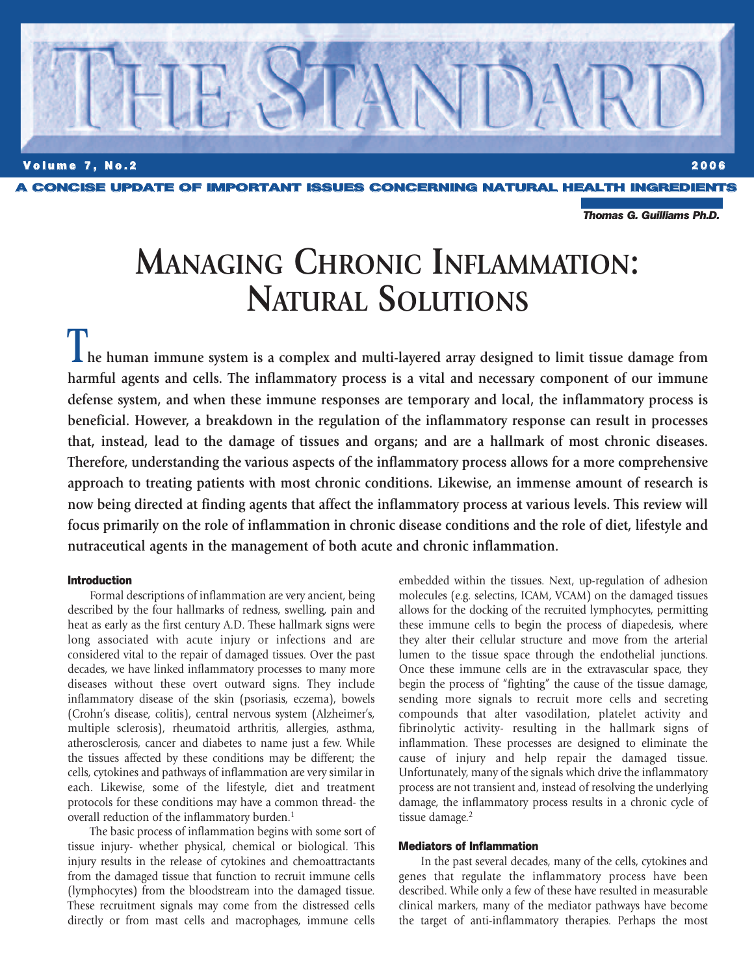

*Thomas G. Guilliams Ph.D.*

# **MANAGING CHRONIC INFLAMMATION: NATURAL SOLUTIONS**

**The human immune system is a complex and multi-layered array designed to limit tissue damage from harmful agents and cells. The inflammatory process is a vital and necessary component of our immune defense system, and when these immune responses are temporary and local, the inflammatory process is beneficial. However, a breakdown in the regulation of the inflammatory response can result in processes that, instead, lead to the damage of tissues and organs; and are a hallmark of most chronic diseases. Therefore, understanding the various aspects of the inflammatory process allows for a more comprehensive approach to treating patients with most chronic conditions. Likewise, an immense amount of research is now being directed at finding agents that affect the inflammatory process at various levels. This review will focus primarily on the role of inflammation in chronic disease conditions and the role of diet, lifestyle and nutraceutical agents in the management of both acute and chronic inflammation.**

## **Introduction**

Formal descriptions of inflammation are very ancient, being described by the four hallmarks of redness, swelling, pain and heat as early as the first century A.D. These hallmark signs were long associated with acute injury or infections and are considered vital to the repair of damaged tissues. Over the past decades, we have linked inflammatory processes to many more diseases without these overt outward signs. They include inflammatory disease of the skin (psoriasis, eczema), bowels (Crohn's disease, colitis), central nervous system (Alzheimer's, multiple sclerosis), rheumatoid arthritis, allergies, asthma, atherosclerosis, cancer and diabetes to name just a few. While the tissues affected by these conditions may be different; the cells, cytokines and pathways of inflammation are very similar in each. Likewise, some of the lifestyle, diet and treatment protocols for these conditions may have a common thread- the overall reduction of the inflammatory burden.<sup>1</sup>

The basic process of inflammation begins with some sort of tissue injury- whether physical, chemical or biological. This injury results in the release of cytokines and chemoattractants from the damaged tissue that function to recruit immune cells (lymphocytes) from the bloodstream into the damaged tissue. These recruitment signals may come from the distressed cells directly or from mast cells and macrophages, immune cells

embedded within the tissues. Next, up-regulation of adhesion molecules (e.g. selectins, ICAM, VCAM) on the damaged tissues allows for the docking of the recruited lymphocytes, permitting these immune cells to begin the process of diapedesis, where they alter their cellular structure and move from the arterial lumen to the tissue space through the endothelial junctions. Once these immune cells are in the extravascular space, they begin the process of "fighting" the cause of the tissue damage, sending more signals to recruit more cells and secreting compounds that alter vasodilation, platelet activity and fibrinolytic activity- resulting in the hallmark signs of inflammation. These processes are designed to eliminate the cause of injury and help repair the damaged tissue. Unfortunately, many of the signals which drive the inflammatory process are not transient and, instead of resolving the underlying damage, the inflammatory process results in a chronic cycle of tissue damage. 2

# **Mediators of Inflammation**

In the past several decades, many of the cells, cytokines and genes that regulate the inflammatory process have been described. While only a few of these have resulted in measurable clinical markers, many of the mediator pathways have become the target of anti-inflammatory therapies. Perhaps the most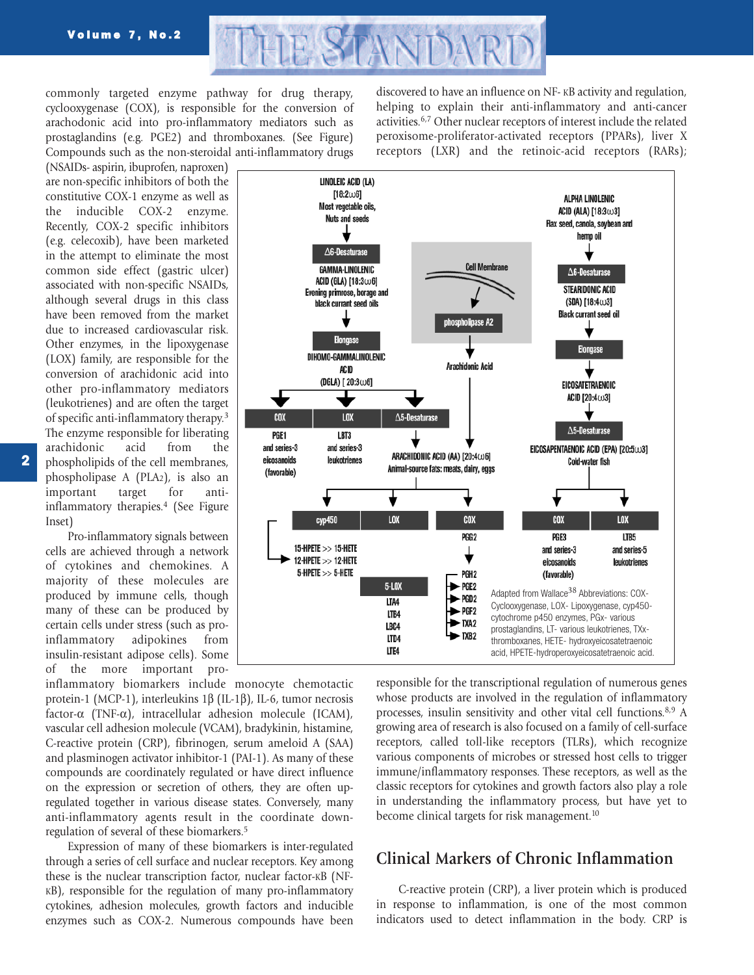

commonly targeted enzyme pathway for drug therapy, cyclooxygenase (COX), is responsible for the conversion of arachodonic acid into pro-inflammatory mediators such as prostaglandins (e.g. PGE2) and thromboxanes. (See Figure) Compounds such as the non-steroidal anti-inflammatory drugs

(NSAIDs- aspirin, ibuprofen, naproxen) are non-specific inhibitors of both the constitutive COX-1 enzyme as well as the inducible COX-2 enzyme. Recently, COX-2 specific inhibitors (e.g. celecoxib), have been marketed in the attempt to eliminate the most common side effect (gastric ulcer) associated with non-specific NSAIDs, although several drugs in this class have been removed from the market due to increased cardiovascular risk. Other enzymes, in the lipoxygenase (LOX) family, are responsible for the conversion of arachidonic acid into other pro-inflammatory mediators (leukotrienes) and are often the target of specific anti-inflammatory therapy.3 The enzyme responsible for liberating arachidonic acid from the phospholipids of the cell membranes, phospholipase A (PLA2), is also an important target for antiinflammatory therapies.4 (See Figure Inset)

Pro-inflammatory signals between cells are achieved through a network of cytokines and chemokines. A majority of these molecules are produced by immune cells, though many of these can be produced by certain cells under stress (such as proinflammatory adipokines from insulin-resistant adipose cells). Some of the more important pro-

inflammatory biomarkers include monocyte chemotactic protein-1 (MCP-1), interleukins 1β (IL-1β), IL-6, tumor necrosis factor-α (TNF-α), intracellular adhesion molecule (ICAM), vascular cell adhesion molecule (VCAM), bradykinin, histamine, C-reactive protein (CRP), fibrinogen, serum ameloid A (SAA) and plasminogen activator inhibitor-1 (PAI-1). As many of these compounds are coordinately regulated or have direct influence on the expression or secretion of others, they are often upregulated together in various disease states. Conversely, many anti-inflammatory agents result in the coordinate downregulation of several of these biomarkers.5

Expression of many of these biomarkers is inter-regulated through a series of cell surface and nuclear receptors. Key among these is the nuclear transcription factor, nuclear factor-KB (NF-KB), responsible for the regulation of many pro-inflammatory cytokines, adhesion molecules, growth factors and inducible enzymes such as COX-2. Numerous compounds have been

discovered to have an influence on NF- KB activity and regulation, helping to explain their anti-inflammatory and anti-cancer activities.6,7 Other nuclear receptors of interest include the related peroxisome-proliferator-activated receptors (PPARs), liver X receptors (LXR) and the retinoic-acid receptors (RARs);



responsible for the transcriptional regulation of numerous genes whose products are involved in the regulation of inflammatory processes, insulin sensitivity and other vital cell functions. 8,9 A growing area of research is also focused on a family of cell-surface receptors, called toll-like receptors (TLRs), which recognize various components of microbes or stressed host cells to trigger immune/inflammatory responses. These receptors, as well as the classic receptors for cytokines and growth factors also play a role in understanding the inflammatory process, but have yet to become clinical targets for risk management.<sup>10</sup>

# **Clinical Markers of Chronic Inflammation**

C-reactive protein (CRP), a liver protein which is produced in response to inflammation, is one of the most common indicators used to detect inflammation in the body. CRP is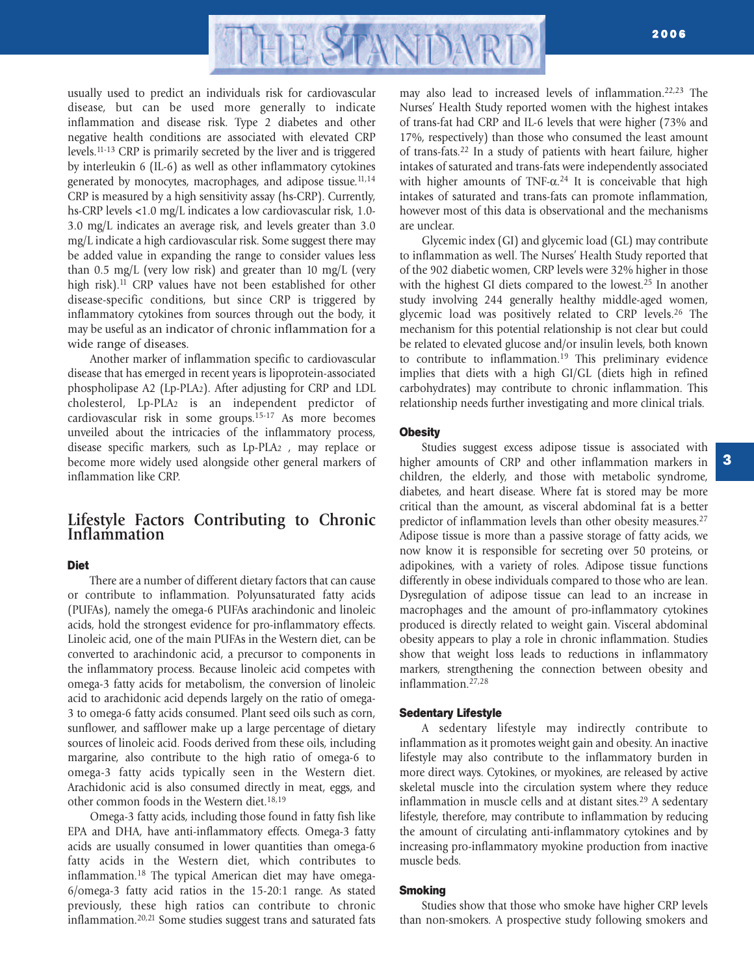

usually used to predict an individuals risk for cardiovascular disease, but can be used more generally to indicate inflammation and disease risk. Type 2 diabetes and other negative health conditions are associated with elevated CRP levels.11-13 CRP is primarily secreted by the liver and is triggered by interleukin 6 (IL-6) as well as other inflammatory cytokines generated by monocytes, macrophages, and adipose tissue.<sup>11,14</sup> CRP is measured by a high sensitivity assay (hs-CRP). Currently, hs-CRP levels <1.0 mg/L indicates a low cardiovascular risk, 1.0- 3.0 mg/L indicates an average risk, and levels greater than 3.0 mg/L indicate a high cardiovascular risk. Some suggest there may be added value in expanding the range to consider values less than 0.5 mg/L (very low risk) and greater than 10 mg/L (very high risk).<sup>11</sup> CRP values have not been established for other disease-specific conditions, but since CRP is triggered by inflammatory cytokines from sources through out the body, it may be useful as an indicator of chronic inflammation for a wide range of diseases.

Another marker of inflammation specific to cardiovascular disease that has emerged in recent years is lipoprotein-associated phospholipase A2 (Lp-PLA2). After adjusting for CRP and LDL cholesterol, Lp-PLA2 is an independent predictor of cardiovascular risk in some groups.15-17 As more becomes unveiled about the intricacies of the inflammatory process, disease specific markers, such as Lp-PLA2 , may replace or become more widely used alongside other general markers of inflammation like CRP.

# **Lifestyle Factors Contributing to Chronic Inflammation**

# **Diet**

There are a number of different dietary factors that can cause or contribute to inflammation. Polyunsaturated fatty acids (PUFAs), namely the omega-6 PUFAs arachindonic and linoleic acids, hold the strongest evidence for pro-inflammatory effects. Linoleic acid, one of the main PUFAs in the Western diet, can be converted to arachindonic acid, a precursor to components in the inflammatory process. Because linoleic acid competes with omega-3 fatty acids for metabolism, the conversion of linoleic acid to arachidonic acid depends largely on the ratio of omega-3 to omega-6 fatty acids consumed. Plant seed oils such as corn, sunflower, and safflower make up a large percentage of dietary sources of linoleic acid. Foods derived from these oils, including margarine, also contribute to the high ratio of omega-6 to omega-3 fatty acids typically seen in the Western diet. Arachidonic acid is also consumed directly in meat, eggs, and other common foods in the Western diet.<sup>18,19</sup>

Omega-3 fatty acids, including those found in fatty fish like EPA and DHA, have anti-inflammatory effects. Omega-3 fatty acids are usually consumed in lower quantities than omega-6 fatty acids in the Western diet, which contributes to inflammation.18 The typical American diet may have omega-6/omega-3 fatty acid ratios in the 15-20:1 range. As stated previously, these high ratios can contribute to chronic inflammation.20,21 Some studies suggest trans and saturated fats may also lead to increased levels of inflammation.22,23 The Nurses' Health Study reported women with the highest intakes of trans-fat had CRP and IL-6 levels that were higher (73% and 17%, respectively) than those who consumed the least amount of trans-fats.22 In a study of patients with heart failure, higher intakes of saturated and trans-fats were independently associated with higher amounts of TNF- $\alpha$ <sup>24</sup> It is conceivable that high intakes of saturated and trans-fats can promote inflammation, however most of this data is observational and the mechanisms are unclear.

Glycemic index (GI) and glycemic load (GL) may contribute to inflammation as well. The Nurses' Health Study reported that of the 902 diabetic women, CRP levels were 32% higher in those with the highest GI diets compared to the lowest.<sup>25</sup> In another study involving 244 generally healthy middle-aged women, glycemic load was positively related to CRP levels.26 The mechanism for this potential relationship is not clear but could be related to elevated glucose and/or insulin levels, both known to contribute to inflammation.<sup>19</sup> This preliminary evidence implies that diets with a high GI/GL (diets high in refined carbohydrates) may contribute to chronic inflammation. This relationship needs further investigating and more clinical trials.

# **Obesity**

Studies suggest excess adipose tissue is associated with higher amounts of CRP and other inflammation markers in children, the elderly, and those with metabolic syndrome, diabetes, and heart disease. Where fat is stored may be more critical than the amount, as visceral abdominal fat is a better predictor of inflammation levels than other obesity measures.<sup>27</sup> Adipose tissue is more than a passive storage of fatty acids, we now know it is responsible for secreting over 50 proteins, or adipokines, with a variety of roles. Adipose tissue functions differently in obese individuals compared to those who are lean. Dysregulation of adipose tissue can lead to an increase in macrophages and the amount of pro-inflammatory cytokines produced is directly related to weight gain. Visceral abdominal obesity appears to play a role in chronic inflammation. Studies show that weight loss leads to reductions in inflammatory markers, strengthening the connection between obesity and inflammation.27,28

## **Sedentary Lifestyle**

A sedentary lifestyle may indirectly contribute to inflammation as it promotes weight gain and obesity. An inactive lifestyle may also contribute to the inflammatory burden in more direct ways. Cytokines, or myokines, are released by active skeletal muscle into the circulation system where they reduce inflammation in muscle cells and at distant sites. <sup>29</sup> A sedentary lifestyle, therefore, may contribute to inflammation by reducing the amount of circulating anti-inflammatory cytokines and by increasing pro-inflammatory myokine production from inactive muscle beds.

# **Smoking**

Studies show that those who smoke have higher CRP levels than non-smokers. A prospective study following smokers and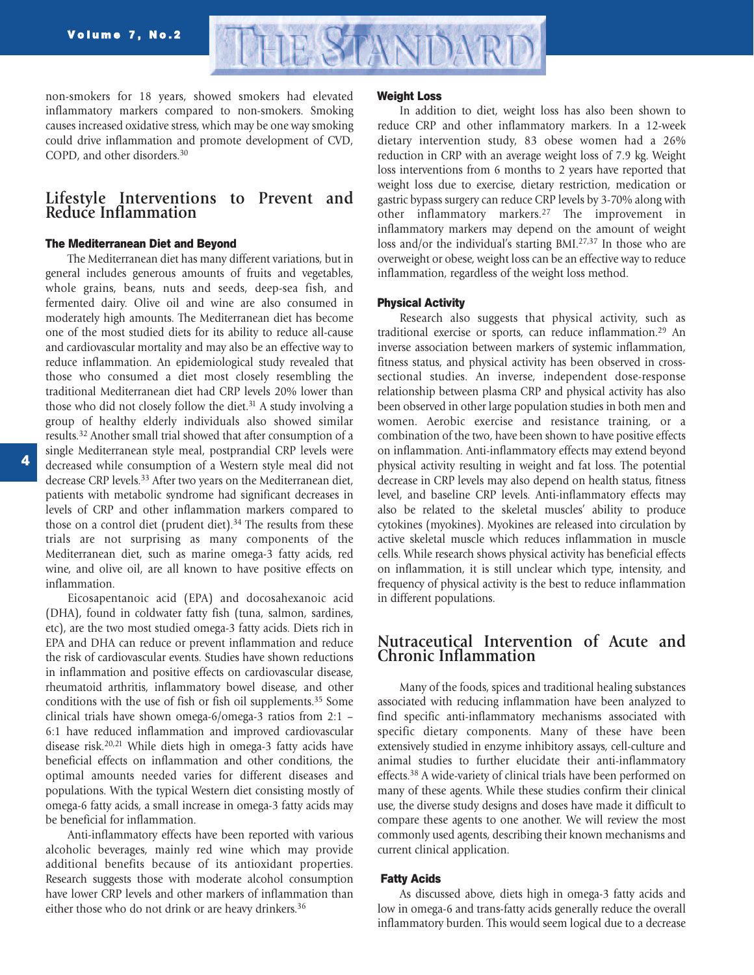

non-smokers for 18 years, showed smokers had elevated inflammatory markers compared to non-smokers. Smoking causes increased oxidative stress, which may be one way smoking could drive inflammation and promote development of CVD, COPD, and other disorders.30

# **Lifestyle Interventions to Prevent and Reduce Inflammation**

# **The Mediterranean Diet and Beyond**

The Mediterranean diet has many different variations, but in general includes generous amounts of fruits and vegetables, whole grains, beans, nuts and seeds, deep-sea fish, and fermented dairy. Olive oil and wine are also consumed in moderately high amounts. The Mediterranean diet has become one of the most studied diets for its ability to reduce all-cause and cardiovascular mortality and may also be an effective way to reduce inflammation. An epidemiological study revealed that those who consumed a diet most closely resembling the traditional Mediterranean diet had CRP levels 20% lower than those who did not closely follow the diet.<sup>31</sup> A study involving a group of healthy elderly individuals also showed similar results. <sup>32</sup> Another small trial showed that after consumption of a single Mediterranean style meal, postprandial CRP levels were decreased while consumption of a Western style meal did not decrease CRP levels.<sup>33</sup> After two years on the Mediterranean diet, patients with metabolic syndrome had significant decreases in levels of CRP and other inflammation markers compared to those on a control diet (prudent diet). $34$  The results from these trials are not surprising as many components of the Mediterranean diet, such as marine omega-3 fatty acids, red wine, and olive oil, are all known to have positive effects on inflammation.

Eicosapentanoic acid (EPA) and docosahexanoic acid (DHA), found in coldwater fatty fish (tuna, salmon, sardines, etc), are the two most studied omega-3 fatty acids. Diets rich in EPA and DHA can reduce or prevent inflammation and reduce the risk of cardiovascular events. Studies have shown reductions in inflammation and positive effects on cardiovascular disease, rheumatoid arthritis, inflammatory bowel disease, and other conditions with the use of fish or fish oil supplements.35 Some clinical trials have shown omega-6/omega-3 ratios from 2:1 – 6:1 have reduced inflammation and improved cardiovascular disease risk.20,21 While diets high in omega-3 fatty acids have beneficial effects on inflammation and other conditions, the optimal amounts needed varies for different diseases and populations. With the typical Western diet consisting mostly of omega-6 fatty acids, a small increase in omega-3 fatty acids may be beneficial for inflammation.

Anti-inflammatory effects have been reported with various alcoholic beverages, mainly red wine which may provide additional benefits because of its antioxidant properties. Research suggests those with moderate alcohol consumption have lower CRP levels and other markers of inflammation than either those who do not drink or are heavy drinkers.<sup>36</sup>

### **Weight Loss**

In addition to diet, weight loss has also been shown to reduce CRP and other inflammatory markers. In a 12-week dietary intervention study, 83 obese women had a 26% reduction in CRP with an average weight loss of 7.9 kg. Weight loss interventions from 6 months to 2 years have reported that weight loss due to exercise, dietary restriction, medication or gastric bypass surgery can reduce CRP levels by 3-70% along with other inflammatory markers.<sup>27</sup> The improvement in inflammatory markers may depend on the amount of weight loss and/or the individual's starting BMI.<sup>27,37</sup> In those who are overweight or obese, weight loss can be an effective way to reduce inflammation, regardless of the weight loss method.

# **Physical Activity**

Research also suggests that physical activity, such as traditional exercise or sports, can reduce inflammation.<sup>29</sup> An inverse association between markers of systemic inflammation, fitness status, and physical activity has been observed in crosssectional studies. An inverse, independent dose-response relationship between plasma CRP and physical activity has also been observed in other large population studies in both men and women. Aerobic exercise and resistance training, or a combination of the two, have been shown to have positive effects on inflammation. Anti-inflammatory effects may extend beyond physical activity resulting in weight and fat loss. The potential decrease in CRP levels may also depend on health status, fitness level, and baseline CRP levels. Anti-inflammatory effects may also be related to the skeletal muscles' ability to produce cytokines (myokines). Myokines are released into circulation by active skeletal muscle which reduces inflammation in muscle cells. While research shows physical activity has beneficial effects on inflammation, it is still unclear which type, intensity, and frequency of physical activity is the best to reduce inflammation in different populations.

# **Nutraceutical Intervention of Acute and Chronic Inflammation**

Many of the foods, spices and traditional healing substances associated with reducing inflammation have been analyzed to find specific anti-inflammatory mechanisms associated with specific dietary components. Many of these have been extensively studied in enzyme inhibitory assays, cell-culture and animal studies to further elucidate their anti-inflammatory effects.38 A wide-variety of clinical trials have been performed on many of these agents. While these studies confirm their clinical use, the diverse study designs and doses have made it difficult to compare these agents to one another. We will review the most commonly used agents, describing their known mechanisms and current clinical application.

## **Fatty Acids**

As discussed above, diets high in omega-3 fatty acids and low in omega-6 and trans-fatty acids generally reduce the overall inflammatory burden. This would seem logical due to a decrease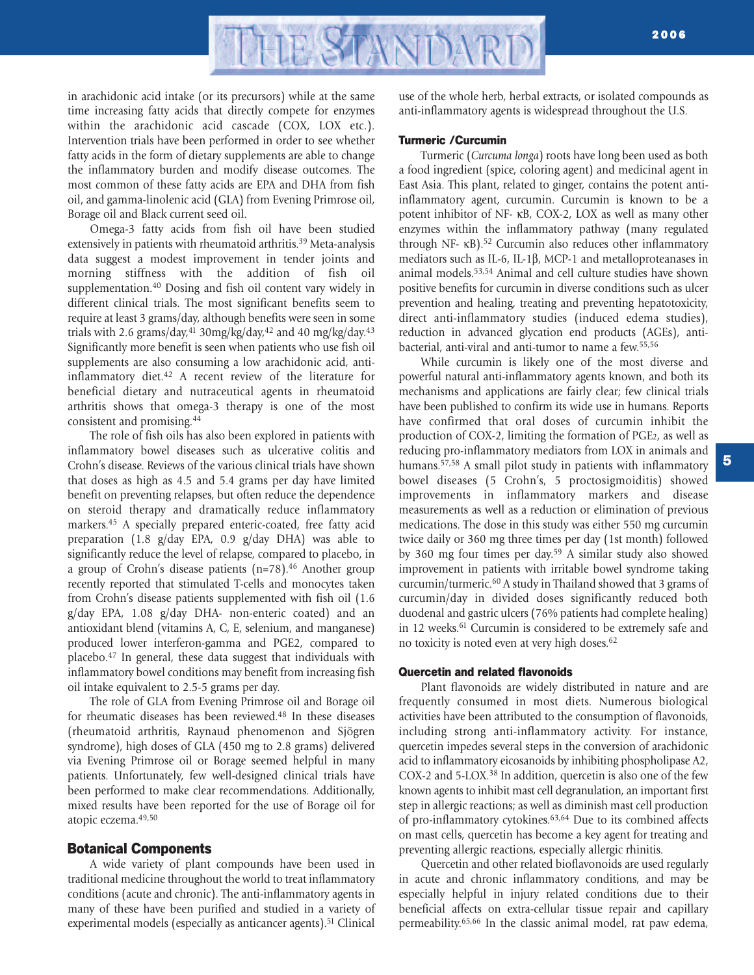

in arachidonic acid intake (or its precursors) while at the same time increasing fatty acids that directly compete for enzymes within the arachidonic acid cascade (COX, LOX etc.). Intervention trials have been performed in order to see whether fatty acids in the form of dietary supplements are able to change the inflammatory burden and modify disease outcomes. The most common of these fatty acids are EPA and DHA from fish oil, and gamma-linolenic acid (GLA) from Evening Primrose oil, Borage oil and Black current seed oil.

Omega-3 fatty acids from fish oil have been studied extensively in patients with rheumatoid arthritis.<sup>39</sup> Meta-analysis data suggest a modest improvement in tender joints and morning stiffness with the addition of fish oil supplementation.<sup>40</sup> Dosing and fish oil content vary widely in different clinical trials. The most significant benefits seem to require at least 3 grams/day, although benefits were seen in some trials with 2.6 grams/day,<sup>41</sup> 30mg/kg/day,<sup>42</sup> and 40 mg/kg/day.<sup>43</sup> Significantly more benefit is seen when patients who use fish oil supplements are also consuming a low arachidonic acid, antiinflammatory diet.<sup>42</sup> A recent review of the literature for beneficial dietary and nutraceutical agents in rheumatoid arthritis shows that omega-3 therapy is one of the most consistent and promising.44

The role of fish oils has also been explored in patients with inflammatory bowel diseases such as ulcerative colitis and Crohn's disease. Reviews of the various clinical trials have shown that doses as high as 4.5 and 5.4 grams per day have limited benefit on preventing relapses, but often reduce the dependence on steroid therapy and dramatically reduce inflammatory markers.45 A specially prepared enteric-coated, free fatty acid preparation (1.8 g/day EPA, 0.9 g/day DHA) was able to significantly reduce the level of relapse, compared to placebo, in a group of Crohn's disease patients  $(n=78).46$  Another group recently reported that stimulated T-cells and monocytes taken from Crohn's disease patients supplemented with fish oil (1.6 g/day EPA, 1.08 g/day DHA- non-enteric coated) and an antioxidant blend (vitamins A, C, E, selenium, and manganese) produced lower interferon-gamma and PGE2, compared to placebo.47 In general, these data suggest that individuals with inflammatory bowel conditions may benefit from increasing fish oil intake equivalent to 2.5-5 grams per day.

The role of GLA from Evening Primrose oil and Borage oil for rheumatic diseases has been reviewed.<sup>48</sup> In these diseases (rheumatoid arthritis, Raynaud phenomenon and Sjögren syndrome), high doses of GLA (450 mg to 2.8 grams) delivered via Evening Primrose oil or Borage seemed helpful in many patients. Unfortunately, few well-designed clinical trials have been performed to make clear recommendations. Additionally, mixed results have been reported for the use of Borage oil for atopic eczema.49,50

# **Botanical Components**

A wide variety of plant compounds have been used in traditional medicine throughout the world to treat inflammatory conditions (acute and chronic). The anti-inflammatory agents in many of these have been purified and studied in a variety of experimental models (especially as anticancer agents).<sup>51</sup> Clinical

use of the whole herb, herbal extracts, or isolated compounds as anti-inflammatory agents is widespread throughout the U.S.

# **Turmeric /Curcumin**

Turmeric (*Curcuma longa*) roots have long been used as both a food ingredient (spice, coloring agent) and medicinal agent in East Asia. This plant, related to ginger, contains the potent antiinflammatory agent, curcumin. Curcumin is known to be a potent inhibitor of NF- κB, COX-2, LOX as well as many other enzymes within the inflammatory pathway (many regulated through NF- κB).52 Curcumin also reduces other inflammatory mediators such as IL-6, IL-1β, MCP-1 and metalloproteanases in animal models.53,54 Animal and cell culture studies have shown positive benefits for curcumin in diverse conditions such as ulcer prevention and healing, treating and preventing hepatotoxicity, direct anti-inflammatory studies (induced edema studies), reduction in advanced glycation end products (AGEs), antibacterial, anti-viral and anti-tumor to name a few.55,56

While curcumin is likely one of the most diverse and powerful natural anti-inflammatory agents known, and both its mechanisms and applications are fairly clear; few clinical trials have been published to confirm its wide use in humans. Reports have confirmed that oral doses of curcumin inhibit the production of COX-2, limiting the formation of PGE2, as well as reducing pro-inflammatory mediators from LOX in animals and humans.<sup>57,58</sup> A small pilot study in patients with inflammatory bowel diseases (5 Crohn's, 5 proctosigmoiditis) showed improvements in inflammatory markers and disease measurements as well as a reduction or elimination of previous medications. The dose in this study was either 550 mg curcumin twice daily or 360 mg three times per day (1st month) followed by 360 mg four times per day. <sup>59</sup> A similar study also showed improvement in patients with irritable bowel syndrome taking curcumin/turmeric.60 A study in Thailand showed that 3 grams of curcumin/day in divided doses significantly reduced both duodenal and gastric ulcers (76% patients had complete healing) in 12 weeks.<sup>61</sup> Curcumin is considered to be extremely safe and no toxicity is noted even at very high doses.62

#### **Quercetin and related flavonoids**

Plant flavonoids are widely distributed in nature and are frequently consumed in most diets. Numerous biological activities have been attributed to the consumption of flavonoids, including strong anti-inflammatory activity. For instance, quercetin impedes several steps in the conversion of arachidonic acid to inflammatory eicosanoids by inhibiting phospholipase A2, COX-2 and 5-LOX.38 In addition, quercetin is also one of the few known agents to inhibit mast cell degranulation, an important first step in allergic reactions; as well as diminish mast cell production of pro-inflammatory cytokines.<sup>63,64</sup> Due to its combined affects on mast cells, quercetin has become a key agent for treating and preventing allergic reactions, especially allergic rhinitis.

Quercetin and other related bioflavonoids are used regularly in acute and chronic inflammatory conditions, and may be especially helpful in injury related conditions due to their beneficial affects on extra-cellular tissue repair and capillary permeability.65,66 In the classic animal model, rat paw edema,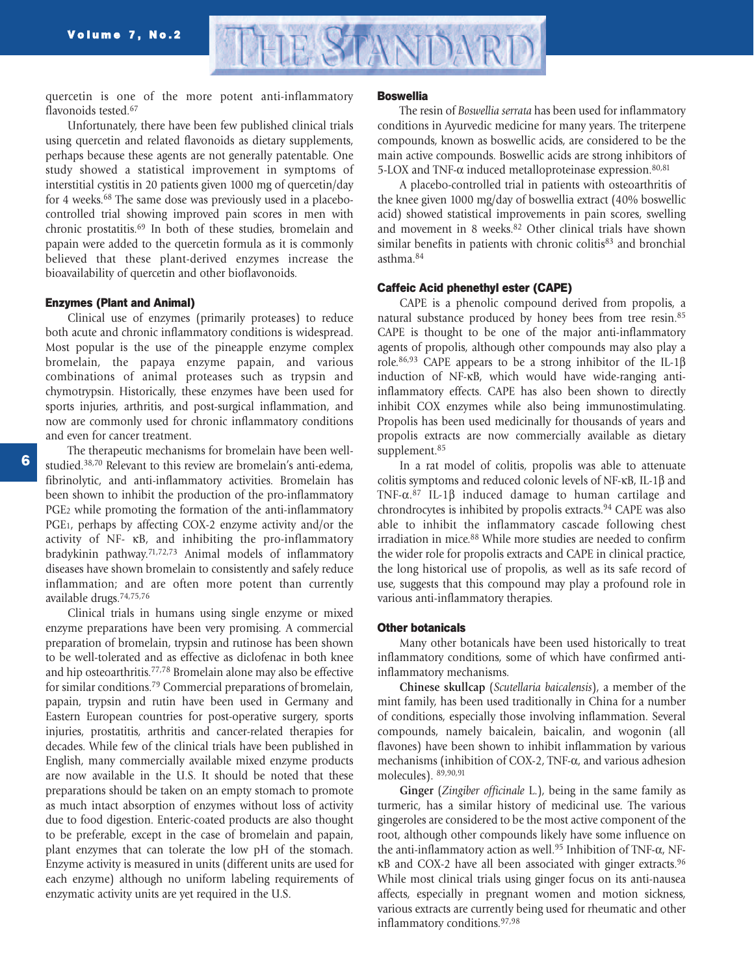

quercetin is one of the more potent anti-inflammatory flavonoids tested.<sup>67</sup>

Unfortunately, there have been few published clinical trials using quercetin and related flavonoids as dietary supplements, perhaps because these agents are not generally patentable. One study showed a statistical improvement in symptoms of interstitial cystitis in 20 patients given 1000 mg of quercetin/day for 4 weeks.68 The same dose was previously used in a placebocontrolled trial showing improved pain scores in men with chronic prostatitis.69 In both of these studies, bromelain and papain were added to the quercetin formula as it is commonly believed that these plant-derived enzymes increase the bioavailability of quercetin and other bioflavonoids.

# **Enzymes (Plant and Animal)**

Clinical use of enzymes (primarily proteases) to reduce both acute and chronic inflammatory conditions is widespread. Most popular is the use of the pineapple enzyme complex bromelain, the papaya enzyme papain, and various combinations of animal proteases such as trypsin and chymotrypsin. Historically, these enzymes have been used for sports injuries, arthritis, and post-surgical inflammation, and now are commonly used for chronic inflammatory conditions and even for cancer treatment.

The therapeutic mechanisms for bromelain have been wellstudied.38,70 Relevant to this review are bromelain's anti-edema, fibrinolytic, and anti-inflammatory activities. Bromelain has been shown to inhibit the production of the pro-inflammatory PGE2 while promoting the formation of the anti-inflammatory PGE1, perhaps by affecting COX-2 enzyme activity and/or the activity of NF- κB, and inhibiting the pro-inflammatory bradykinin pathway. 71,72,73 Animal models of inflammatory diseases have shown bromelain to consistently and safely reduce inflammation; and are often more potent than currently available drugs.74,75,76

Clinical trials in humans using single enzyme or mixed enzyme preparations have been very promising. A commercial preparation of bromelain, trypsin and rutinose has been shown to be well-tolerated and as effective as diclofenac in both knee and hip osteoarthritis.77,78 Bromelain alone may also be effective for similar conditions.79 Commercial preparations of bromelain, papain, trypsin and rutin have been used in Germany and Eastern European countries for post-operative surgery, sports injuries, prostatitis, arthritis and cancer-related therapies for decades. While few of the clinical trials have been published in English, many commercially available mixed enzyme products are now available in the U.S. It should be noted that these preparations should be taken on an empty stomach to promote as much intact absorption of enzymes without loss of activity due to food digestion. Enteric-coated products are also thought to be preferable, except in the case of bromelain and papain, plant enzymes that can tolerate the low pH of the stomach. Enzyme activity is measured in units (different units are used for each enzyme) although no uniform labeling requirements of enzymatic activity units are yet required in the U.S.

#### **Boswellia**

The resin of *Boswellia serrata* has been used for inflammatory conditions in Ayurvedic medicine for many years. The triterpene compounds, known as boswellic acids, are considered to be the main active compounds. Boswellic acids are strong inhibitors of 5-LOX and TNF- $\alpha$  induced metalloproteinase expression.<sup>80,81</sup>

A placebo-controlled trial in patients with osteoarthritis of the knee given 1000 mg/day of boswellia extract (40% boswellic acid) showed statistical improvements in pain scores, swelling and movement in 8 weeks.<sup>82</sup> Other clinical trials have shown similar benefits in patients with chronic colitis<sup>83</sup> and bronchial asthma.84

### **Caffeic Acid phenethyl ester (CAPE)**

CAPE is a phenolic compound derived from propolis, a natural substance produced by honey bees from tree resin.<sup>85</sup> CAPE is thought to be one of the major anti-inflammatory agents of propolis, although other compounds may also play a role.<sup>86,93</sup> CAPE appears to be a strong inhibitor of the IL-1β induction of NF-κB, which would have wide-ranging antiinflammatory effects. CAPE has also been shown to directly inhibit COX enzymes while also being immunostimulating. Propolis has been used medicinally for thousands of years and propolis extracts are now commercially available as dietary supplement.<sup>85</sup>

In a rat model of colitis, propolis was able to attenuate colitis symptoms and reduced colonic levels of NF-κB, IL-1β and TNF-α. <sup>87</sup> IL-1β induced damage to human cartilage and chrondrocytes is inhibited by propolis extracts.<sup>94</sup> CAPE was also able to inhibit the inflammatory cascade following chest irradiation in mice.<sup>88</sup> While more studies are needed to confirm the wider role for propolis extracts and CAPE in clinical practice, the long historical use of propolis, as well as its safe record of use, suggests that this compound may play a profound role in various anti-inflammatory therapies.

# **Other botanicals**

Many other botanicals have been used historically to treat inflammatory conditions, some of which have confirmed antiinflammatory mechanisms.

**Chinese skullcap** (*Scutellaria baicalensis*), a member of the mint family, has been used traditionally in China for a number of conditions, especially those involving inflammation. Several compounds, namely baicalein, baicalin, and wogonin (all flavones) have been shown to inhibit inflammation by various mechanisms (inhibition of COX-2, TNF-α, and various adhesion molecules). 89,90,91

**Ginger** (*Zingiber officinale* L.), being in the same family as turmeric, has a similar history of medicinal use. The various gingeroles are considered to be the most active component of the root, although other compounds likely have some influence on the anti-inflammatory action as well.<sup>95</sup> Inhibition of TNF- $\alpha$ , NFκB and COX-2 have all been associated with ginger extracts.96 While most clinical trials using ginger focus on its anti-nausea affects, especially in pregnant women and motion sickness, various extracts are currently being used for rheumatic and other inflammatory conditions.97,98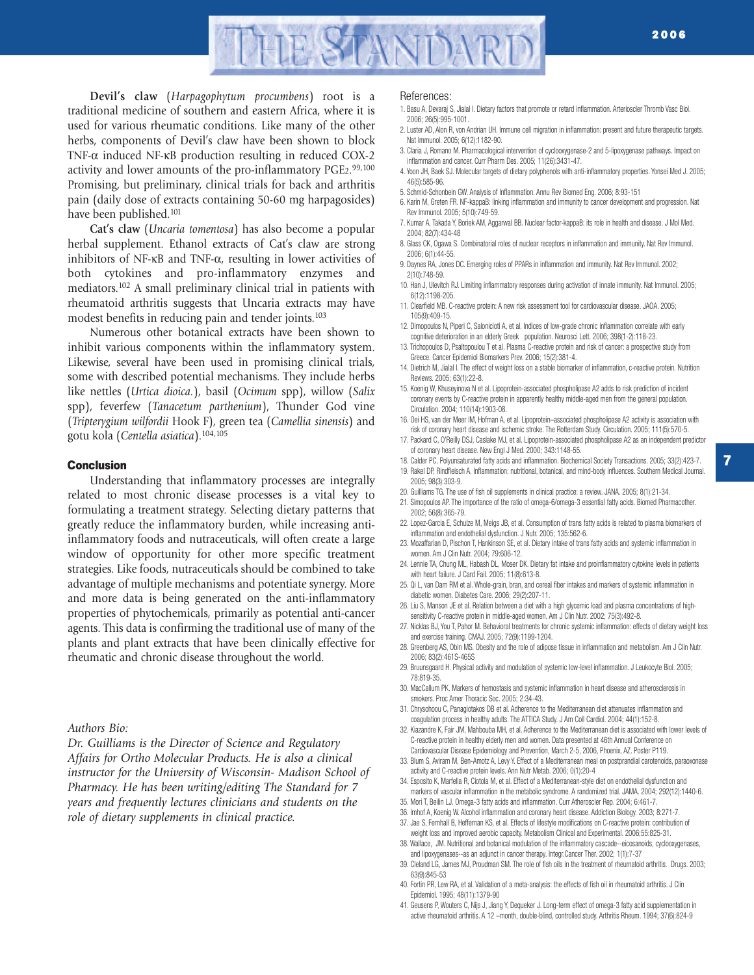

**Devil's claw** (*Harpagophytum procumbens*) root is a traditional medicine of southern and eastern Africa, where it is used for various rheumatic conditions. Like many of the other herbs, components of Devil's claw have been shown to block TNF-α induced NF-κB production resulting in reduced COX-2 activity and lower amounts of the pro-inflammatory PGE2.<sup>99,100</sup> Promising, but preliminary, clinical trials for back and arthritis pain (daily dose of extracts containing 50-60 mg harpagosides) have been published.<sup>101</sup>

**Cat's claw** (*Uncaria tomentosa*) has also become a popular herbal supplement. Ethanol extracts of Cat's claw are strong inhibitors of NF- $\kappa$ B and TNF- $\alpha$ , resulting in lower activities of both cytokines and pro-inflammatory enzymes and mediators.102 A small preliminary clinical trial in patients with rheumatoid arthritis suggests that Uncaria extracts may have modest benefits in reducing pain and tender joints.<sup>103</sup>

Numerous other botanical extracts have been shown to inhibit various components within the inflammatory system. Likewise, several have been used in promising clinical trials, some with described potential mechanisms. They include herbs like nettles (*Urtica dioica.*), basil (*Ocimum* spp), willow (*Salix* spp), feverfew (*Tanacetum parthenium*), Thunder God vine (*Tripterygium wilfordii* Hook F), green tea (*Camellia sinensis*) and gotu kola (*Centella asiatica*).104,105

## **Conclusion**

Understanding that inflammatory processes are integrally related to most chronic disease processes is a vital key to formulating a treatment strategy. Selecting dietary patterns that greatly reduce the inflammatory burden, while increasing antiinflammatory foods and nutraceuticals, will often create a large window of opportunity for other more specific treatment strategies. Like foods, nutraceuticals should be combined to take advantage of multiple mechanisms and potentiate synergy. More and more data is being generated on the anti-inflammatory properties of phytochemicals, primarily as potential anti-cancer agents. This data is confirming the traditional use of many of the plants and plant extracts that have been clinically effective for rheumatic and chronic disease throughout the world.

## *Authors Bio:*

*Dr. Guilliams is the Director of Science and Regulatory Affairs for Ortho Molecular Products. He is also a clinical instructor for the University of Wisconsin- Madison School of Pharmacy. He has been writing/editing The Standard for 7 years and frequently lectures clinicians and students on the role of dietary supplements in clinical practice.*

#### References:

- 1. Basu A, Devaraj S, Jialal I. Dietary factors that promote or retard inflammation. Arterioscler Thromb Vasc Biol. 2006; 26(5):995-1001.
- 2. Luster AD, Alon R, von Andrian UH. Immune cell migration in inflammation: present and future therapeutic targets. Nat Immunol. 2005; 6(12):1182-90.
- 3. Claria J, Romano M. Pharmacological intervention of cyclooxygenase-2 and 5-lipoxygenase pathways. Impact on inflammation and cancer. Curr Pharm Des. 2005; 11(26):3431-47.
- 4. Yoon JH, Baek SJ. Molecular targets of dietary polyphenols with anti-inflammatory properties. Yonsei Med J. 2005; 46(5):585-96.
- 5. Schmid-Schonbein GW. Analysis of Inflammation. Annu Rev Biomed Eng. 2006; 8:93-151
- 6. Karin M, Greten FR. NF-kappaB: linking inflammation and immunity to cancer development and progression. Nat Rev Immunol. 2005; 5(10):749-59.
- 7. Kumar A, Takada Y, Boriek AM, Aggarwal BB. Nuclear factor-kappaB: its role in health and disease. J Mol Med. 2004; 82(7):434-48
- 8. Glass CK, Ogawa S. Combinatorial roles of nuclear receptors in inflammation and immunity. Nat Rev Immunol. 2006; 6(1):44-55.
- 9. Daynes RA, Jones DC. Emerging roles of PPARs in inflammation and immunity. Nat Rev Immunol. 2002; 2(10):748-59.
- 10. Han J, Ulevitch RJ. Limiting inflammatory responses during activation of innate immunity. Nat Immunol. 2005; 6(12):1198-205.
- 11. Clearfield MB. C-reactive protein: A new risk assessment tool for cardiovascular disease. JAOA. 2005; 105(9):409-15.
- 12. Dimopoulos N, Piperi C, Salonicioti A, et al. Indices of low-grade chronic inflammation correlate with early cognitive deterioration in an elderly Greek population. Neurosci Lett. 2006; 398(1-2):118-23.
- 13. Trichopoulos D, Psaltopoulou T et al. Plasma C-reactive protein and risk of cancer: a prospective study from Greece. Cancer Epidemiol Biomarkers Prev. 2006; 15(2):381-4.
- 14. Dietrich M, Jialal I. The effect of weight loss on a stable biomarker of inflammation, c-reactive protein. Nutrition Reviews. 2005; 63(1):22-8.
- 15. Koenig W, Khuseyinova N et al. Lipoprotein-associated phospholipase A2 adds to risk prediction of incident coronary events by C-reactive protein in apparently healthy middle-aged men from the general population. Circulation. 2004; 110(14):1903-08.
- 16. Oei HS, van der Meer IM, Hofman A, et al. Lipoprotein–associated phospholipase A2 activity is association with risk of coronary heart disease and ischemic stroke. The Rotterdam Study. Circulation. 2005; 111(5):570-5.
- 17. Packard C, O'Reilly DSJ, Caslake MJ, et al. Lipoprotein-associated phospholipase A2 as an independent predictor of coronary heart disease. New Engl J Med. 2000; 343:1148-55.
- 18. Calder PC. Polyunsaturated fatty acids and inflammation. Biochemical Society Transactions. 2005; 33(2):423-7. 19. Rakel DP, Rindfleisch A. Inflammation: nutritional, botanical, and mind-body influences. Southern Medical Journal. 2005; 98(3):303-9.
- 20. Guilliams TG. The use of fish oil supplements in clinical practice: a review. JANA. 2005; 8(1):21-34.
- 21. Simopoulos AP. The importance of the ratio of omega-6/omega-3 essential fatty acids. Biomed Pharmacother. 2002; 56(8):365-79.
- 22. Lopez-Garcia E, Schulze M, Meigs JB, et al. Consumption of trans fatty acids is related to plasma biomarkers of inflammation and endothelial dysfunction. J Nutr. 2005; 135:562-6.
- 23. Mozaffarian D, Pischon T, Hankinson SE, et al. Dietary intake of trans fatty acids and systemic inflammation in women. Am J Clin Nutr. 2004; 79:606-12.
- 24. Lennie TA, Chung ML, Habash DL, Moser DK. Dietary fat intake and proinflammatory cytokine levels in patients with heart failure. J Card Fail. 2005; 11(8):613-8.
- 25. Qi L, van Dam RM et al. Whole-grain, bran, and cereal fiber intakes and markers of systemic inflammation in diabetic women. Diabetes Care. 2006; 29(2):207-11.
- 26. Liu S, Manson JE et al. Relation between a diet with a high glycemic load and plasma concentrations of highsensitivity C-reactive protein in middle-aged women. Am J Clin Nutr. 2002; 75(3):492-8.
- 27. Nicklas BJ, You T, Pahor M. Behavioral treatments for chronic systemic inflammation: effects of dietary weight loss and exercise training. CMAJ. 2005; 72(9):1199-1204.
- 28. Greenberg AS, Obin MS. Obesity and the role of adipose tissue in inflammation and metabolism. Am J Clin Nutr. 2006; 83(2):461S-465S
- 29. Bruunsgaard H. Physical activity and modulation of systemic low-level inflammation. J Leukocyte Biol. 2005; 78:819-35.
- 30. MacCallum PK. Markers of hemostasis and systemic inflammation in heart disease and atherosclerosis in smokers. Proc Amer Thoracic Soc. 2005; 2:34-43.
- 31. Chrysohoou C, Panagiotakos DB et al. Adherence to the Mediterranean diet attenuates inflammation and coagulation process in healthy adults. The ATTICA Study. J Am Coll Cardiol. 2004; 44(1):152-8.
- 32. Kiazandre K, Fair JM, Mahbouba MH, et al. Adherence to the Mediterranean diet is associated with lower levels of C-reactive protein in healthy elderly men and women. Data presented at 46th Annual Conference on Cardiovascular Disease Epidemiology and Prevention, March 2-5, 2006, Phoenix, AZ. Poster P119.
- 33. Blum S, Aviram M, Ben-Amotz A, Levy Y. Effect of a Mediterranean meal on postprandial carotenoids, paraoxonase activity and C-reactive protein levels. Ann Nutr Metab. 2006; 0(1):20-4
- 34. Esposito K, Marfella R, Ciotola M, et al. Effect of a Mediterranean-style diet on endothelial dysfunction and markers of vascular inflammation in the metabolic syndrome. A randomized trial. JAMA. 2004; 292(12):1440-6.
- 35. Mori T, Beilin LJ. Omega-3 fatty acids and inflammation. Curr Atheroscler Rep. 2004; 6:461-7.
- 36. Imhof A, Koenig W. Alcohol inflammation and coronary heart disease. Addiction Biology. 2003; 8:271-7.
- 37. Jae S, Fernhall B, Heffernan KS, et al. Effects of lifestyle modifications on C-reactive protein: contribution of weight loss and improved aerobic capacity. Metabolism Clinical and Experimental. 2006;55:825-31.
- 38. Wallace, JM. Nutritional and botanical modulation of the inflammatory cascade--eicosanoids, cyclooxygenases, and lipoxygenases--as an adjunct in cancer therapy. Integr.Cancer Ther. 2002; 1(1):7-37
- 39. Cleland LG, James MJ, Proudman SM. The role of fish oils in the treatment of rheumatoid arthritis. Drugs. 2003; 63(9):845-53
- 40. Fortin PR, Lew RA, et al. Validation of a meta-analysis: the effects of fish oil in rheumatoid arthritis. J Clin Epidemiol. 1995; 48(11):1379-90
- 41. Geusens P, Wouters C, Nijs J, Jiang Y, Dequeker J. Long-term effect of omega-3 fatty acid supplementation in active rheumatoid arthritis. A 12 –month, double-blind, controlled study. Arthritis Rheum. 1994; 37(6):824-9